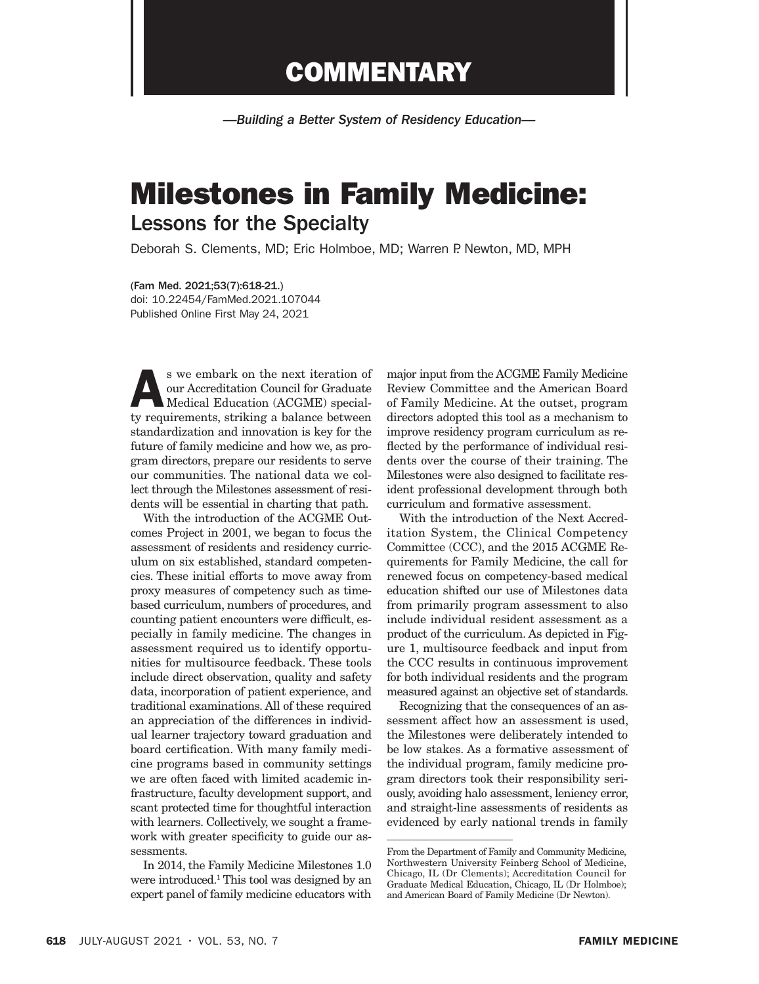## **COMMENTARY**

*—Building a Better System of Residency Education—*

## Milestones in Family Medicine: Lessons for the Specialty

Deborah S. Clements, MD; Eric Holmboe, MD; Warren P. Newton, MD, MPH

(Fam Med. 2021;53(7):618-21.) doi: 10.22454/FamMed.2021.107044 Published Online First May 24, 2021

s we embark on the next iteration of<br>
our Accreditation Council for Graduate<br>
Medical Education (ACGME) special-<br>
ty requirements striking a balance between our Accreditation Council for Graduate ty requirements, striking a balance between standardization and innovation is key for the future of family medicine and how we, as program directors, prepare our residents to serve our communities. The national data we collect through the Milestones assessment of residents will be essential in charting that path.

With the introduction of the ACGME Outcomes Project in 2001, we began to focus the assessment of residents and residency curriculum on six established, standard competencies. These initial efforts to move away from proxy measures of competency such as timebased curriculum, numbers of procedures, and counting patient encounters were difficult, especially in family medicine. The changes in assessment required us to identify opportunities for multisource feedback. These tools include direct observation, quality and safety data, incorporation of patient experience, and traditional examinations. All of these required an appreciation of the differences in individual learner trajectory toward graduation and board certification. With many family medicine programs based in community settings we are often faced with limited academic infrastructure, faculty development support, and scant protected time for thoughtful interaction with learners. Collectively, we sought a framework with greater specificity to guide our assessments.

In 2014, the Family Medicine Milestones 1.0 were introduced.<sup>1</sup> This tool was designed by an expert panel of family medicine educators with

major input from the ACGME Family Medicine Review Committee and the American Board of Family Medicine. At the outset, program directors adopted this tool as a mechanism to improve residency program curriculum as reflected by the performance of individual residents over the course of their training. The Milestones were also designed to facilitate resident professional development through both curriculum and formative assessment.

With the introduction of the Next Accreditation System, the Clinical Competency Committee (CCC), and the 2015 ACGME Requirements for Family Medicine, the call for renewed focus on competency-based medical education shifted our use of Milestones data from primarily program assessment to also include individual resident assessment as a product of the curriculum. As depicted in Figure 1, multisource feedback and input from the CCC results in continuous improvement for both individual residents and the program measured against an objective set of standards.

Recognizing that the consequences of an assessment affect how an assessment is used, the Milestones were deliberately intended to be low stakes. As a formative assessment of the individual program, family medicine program directors took their responsibility seriously, avoiding halo assessment, leniency error, and straight-line assessments of residents as evidenced by early national trends in family

From the Department of Family and Community Medicine, Northwestern University Feinberg School of Medicine, Chicago, IL (Dr Clements); Accreditation Council for Graduate Medical Education, Chicago, IL (Dr Holmboe); and American Board of Family Medicine (Dr Newton).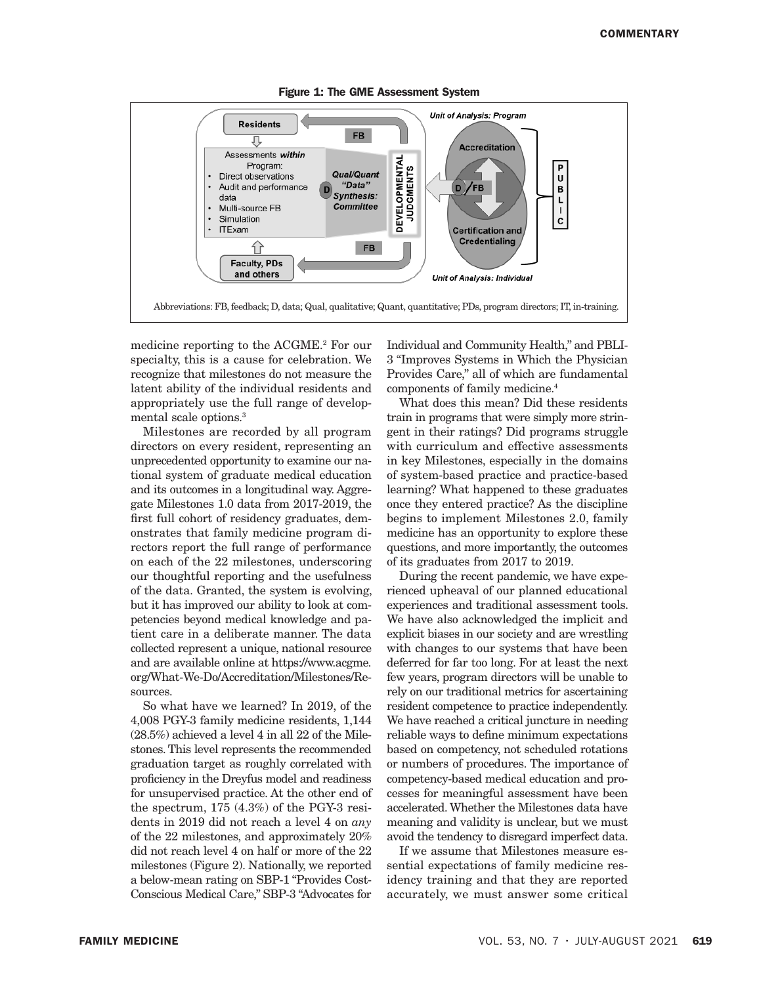

Figure 1: The GME Assessment System

medicine reporting to the ACGME.<sup>2</sup> For our specialty, this is a cause for celebration. We recognize that milestones do not measure the latent ability of the individual residents and appropriately use the full range of developmental scale options.3

Milestones are recorded by all program directors on every resident, representing an unprecedented opportunity to examine our national system of graduate medical education and its outcomes in a longitudinal way. Aggregate Milestones 1.0 data from 2017-2019, the first full cohort of residency graduates, demonstrates that family medicine program directors report the full range of performance on each of the 22 milestones, underscoring our thoughtful reporting and the usefulness of the data. Granted, the system is evolving, but it has improved our ability to look at competencies beyond medical knowledge and patient care in a deliberate manner. The data collected represent a unique, national resource and are available online at https://www.acgme. org/What-We-Do/Accreditation/Milestones/Resources.

So what have we learned? In 2019, of the 4,008 PGY-3 family medicine residents, 1,144 (28.5%) achieved a level 4 in all 22 of the Milestones. This level represents the recommended graduation target as roughly correlated with proficiency in the Dreyfus model and readiness for unsupervised practice. At the other end of the spectrum, 175 (4.3%) of the PGY-3 residents in 2019 did not reach a level 4 on *any* of the 22 milestones, and approximately 20% did not reach level 4 on half or more of the 22 milestones (Figure 2). Nationally, we reported a below-mean rating on SBP-1 "Provides Cost-Conscious Medical Care," SBP-3 "Advocates for

Individual and Community Health," and PBLI-3 "Improves Systems in Which the Physician Provides Care," all of which are fundamental components of family medicine.4

What does this mean? Did these residents train in programs that were simply more stringent in their ratings? Did programs struggle with curriculum and effective assessments in key Milestones, especially in the domains of system-based practice and practice-based learning? What happened to these graduates once they entered practice? As the discipline begins to implement Milestones 2.0, family medicine has an opportunity to explore these questions, and more importantly, the outcomes of its graduates from 2017 to 2019.

During the recent pandemic, we have experienced upheaval of our planned educational experiences and traditional assessment tools. We have also acknowledged the implicit and explicit biases in our society and are wrestling with changes to our systems that have been deferred for far too long. For at least the next few years, program directors will be unable to rely on our traditional metrics for ascertaining resident competence to practice independently. We have reached a critical juncture in needing reliable ways to define minimum expectations based on competency, not scheduled rotations or numbers of procedures. The importance of competency-based medical education and processes for meaningful assessment have been accelerated. Whether the Milestones data have meaning and validity is unclear, but we must avoid the tendency to disregard imperfect data.

If we assume that Milestones measure essential expectations of family medicine residency training and that they are reported accurately, we must answer some critical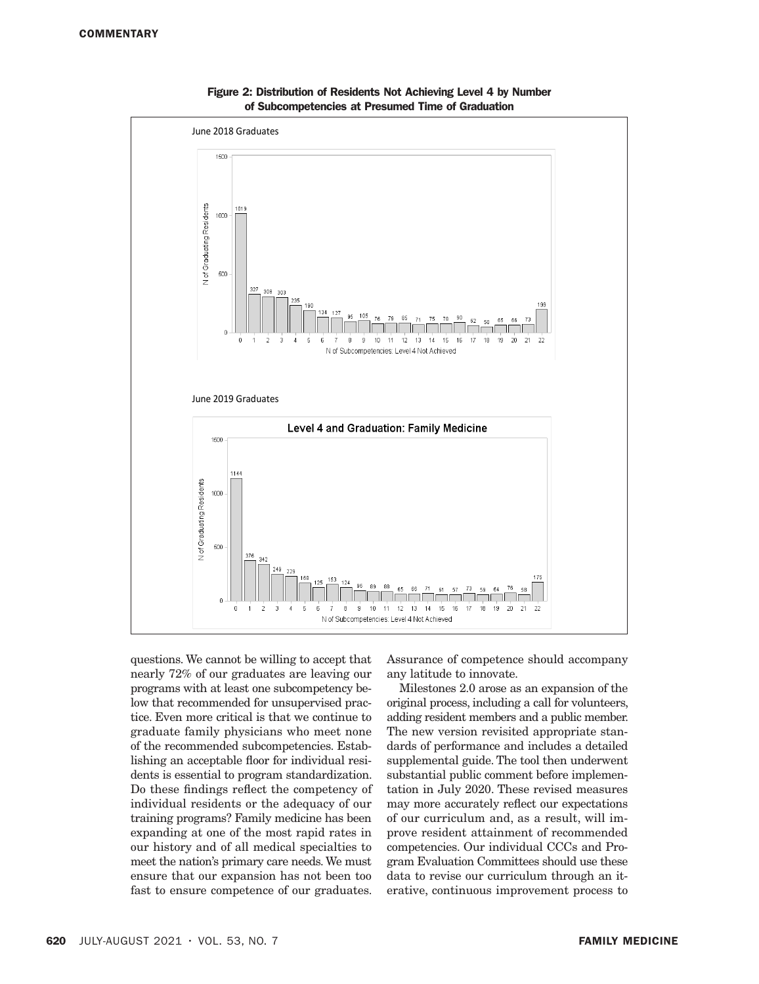

Figure 2: Distribution of Residents Not Achieving Level 4 by Number of Subcompetencies at Presumed Time of Graduation

questions. We cannot be willing to accept that nearly 72% of our graduates are leaving our programs with at least one subcompetency below that recommended for unsupervised practice. Even more critical is that we continue to graduate family physicians who meet none of the recommended subcompetencies. Establishing an acceptable floor for individual residents is essential to program standardization. Do these findings reflect the competency of individual residents or the adequacy of our training programs? Family medicine has been expanding at one of the most rapid rates in our history and of all medical specialties to meet the nation's primary care needs. We must ensure that our expansion has not been too fast to ensure competence of our graduates.

Assurance of competence should accompany any latitude to innovate.

Milestones 2.0 arose as an expansion of the original process, including a call for volunteers, adding resident members and a public member. The new version revisited appropriate standards of performance and includes a detailed supplemental guide. The tool then underwent substantial public comment before implementation in July 2020. These revised measures may more accurately reflect our expectations of our curriculum and, as a result, will improve resident attainment of recommended competencies. Our individual CCCs and Program Evaluation Committees should use these data to revise our curriculum through an iterative, continuous improvement process to